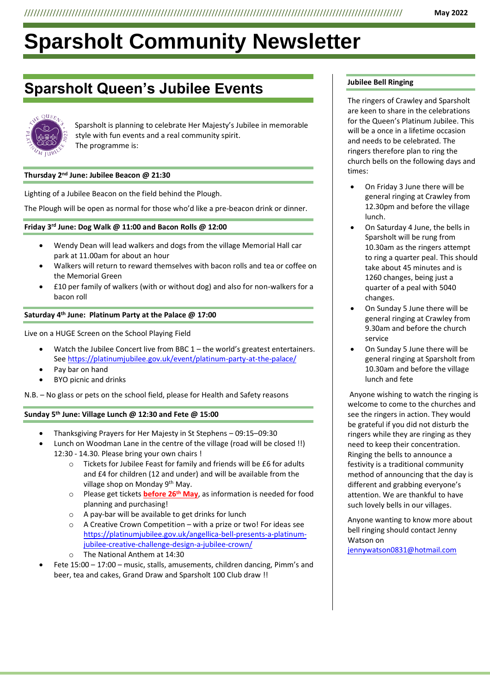# **Sparsholt Community Newsletter**

# **Sparsholt Queen's Jubilee Events**



Sparsholt is planning to celebrate Her Majesty's Jubilee in memorable style with fun events and a real community spirit. The programme is:

## **Thursday 2 nd June: Jubilee Beacon @ 21:30**

Lighting of a Jubilee Beacon on the field behind the Plough.

The Plough will be open as normal for those who'd like a pre-beacon drink or dinner.

### **Friday 3rd June: Dog Walk @ 11:00 and Bacon Rolls @ 12:00**

- Wendy Dean will lead walkers and dogs from the village Memorial Hall car park at 11.00am for about an hour
- Walkers will return to reward themselves with bacon rolls and tea or coffee on the Memorial Green
- £10 per family of walkers (with or without dog) and also for non-walkers for a bacon roll

# **Saturday 4th June: Platinum Party at the Palace @ 17:00**

Live on a HUGE Screen on the School Playing Field

- Watch the Jubilee Concert live from BBC  $1$  the world's greatest entertainers. See<https://platinumjubilee.gov.uk/event/platinum-party-at-the-palace/>
- Pay bar on hand
- BYO picnic and drinks

N.B. – No glass or pets on the school field, please for Health and Safety reasons

# **Sunday 5th June: Village Lunch @ 12:30 and Fete @ 15:00**

- Thanksgiving Prayers for Her Majesty in St Stephens 09:15–09:30
	- Lunch on Woodman Lane in the centre of the village (road will be closed !!) 12:30 - 14.30. Please bring your own chairs !
		- o Tickets for Jubilee Feast for family and friends will be £6 for adults and £4 for children (12 and under) and will be available from the village shop on Monday 9<sup>th</sup> May.
		- o Please get tickets **before 26th May**, as information is needed for food planning and purchasing!
		- o A pay-bar will be available to get drinks for lunch
		- A Creative Crown Competition with a prize or two! For ideas see [https://platinumjubilee.gov.uk/angellica-bell-presents-a-platinum](https://platinumjubilee.gov.uk/angellica-bell-presents-a-platinum-jubilee-creative-challenge-design-a-jubilee-crown/)[jubilee-creative-challenge-design-a-jubilee-crown/](https://platinumjubilee.gov.uk/angellica-bell-presents-a-platinum-jubilee-creative-challenge-design-a-jubilee-crown/)
		- The National Anthem at 14:30
- Fete 15:00 17:00 music, stalls, amusements, children dancing, Pimm's and beer, tea and cakes, Grand Draw and Sparsholt 100 Club draw !!

# **Jubilee Bell Ringing**

The ringers of Crawley and Sparsholt are keen to share in the celebrations for the Queen's Platinum Jubilee. This will be a once in a lifetime occasion and needs to be celebrated. The ringers therefore plan to ring the church bells on the following days and times:

- On Friday 3 June there will be general ringing at Crawley from 12.30pm and before the village lunch.
- On Saturday 4 June, the bells in Sparsholt will be rung from 10.30am as the ringers attempt to ring a quarter peal. This should take about 45 minutes and is 1260 changes, being just a quarter of a peal with 5040 changes.
- On Sunday 5 June there will be general ringing at Crawley from 9.30am and before the church service
- On Sunday 5 June there will be general ringing at Sparsholt from 10.30am and before the village lunch and fete

Anyone wishing to watch the ringing is welcome to come to the churches and see the ringers in action. They would be grateful if you did not disturb the ringers while they are ringing as they need to keep their concentration. Ringing the bells to announce a festivity is a traditional community method of announcing that the day is different and grabbing everyone's attention. We are thankful to have such lovely bells in our villages.

Anyone wanting to know more about bell ringing should contact Jenny Watson on

[jennywatson0831@hotmail.com](mailto:jennywatson0831@hotmail.com)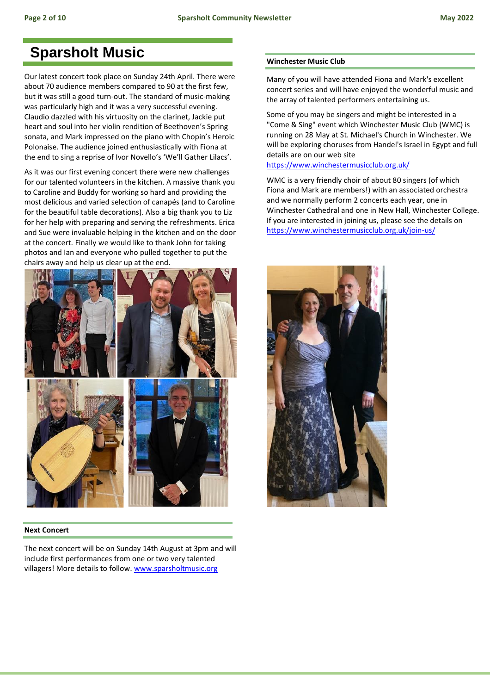# **Sparsholt Music**

Our latest concert took place on Sunday 24th April. There were about 70 audience members compared to 90 at the first few, but it was still a good turn-out. The standard of music-making was particularly high and it was a very successful evening. Claudio dazzled with his virtuosity on the clarinet, Jackie put heart and soul into her violin rendition of Beethoven's Spring sonata, and Mark impressed on the piano with Chopin's Heroic Polonaise. The audience joined enthusiastically with Fiona at the end to sing a reprise of Ivor Novello's 'We'll Gather Lilacs'.

As it was our first evening concert there were new challenges for our talented volunteers in the kitchen. A massive thank you to Caroline and Buddy for working so hard and providing the most delicious and varied selection of canapés (and to Caroline for the beautiful table decorations). Also a big thank you to Liz for her help with preparing and serving the refreshments. Erica and Sue were invaluable helping in the kitchen and on the door at the concert. Finally we would like to thank John for taking photos and Ian and everyone who pulled together to put the chairs away and help us clear up at the end.



# **Next Concert**

The next concert will be on Sunday 14th August at 3pm and will include first performances from one or two very talented villagers! More details to follow. [www.sparsholtmusic.org](http://www.sparsholtmusic.org/)

# **Winchester Music Club**

Many of you will have attended Fiona and Mark's excellent concert series and will have enjoyed the wonderful music and the array of talented performers entertaining us.

Some of you may be singers and might be interested in a "Come & Sing" event which Winchester Music Club (WMC) is running on 28 May at St. Michael's Church in Winchester. We will be exploring choruses from Handel's Israel in Egypt and full details are on our web site

# <https://www.winchestermusicclub.org.uk/>

WMC is a very friendly choir of about 80 singers (of which Fiona and Mark are members!) with an associated orchestra and we normally perform 2 concerts each year, one in Winchester Cathedral and one in New Hall, Winchester College. If you are interested in joining us, please see the details on <https://www.winchestermusicclub.org.uk/join-us/>

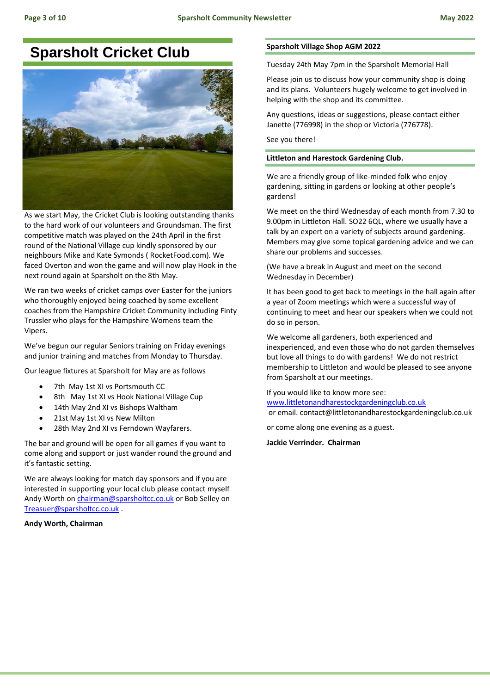# **Sparsholt Cricket Club**



As we start May, the Cricket Club is looking outstanding thanks to the hard work of our volunteers and Groundsman. The first competitive match was played on the 24th April in the first round of the National Village cup kindly sponsored by our neighbours Mike and Kate Symonds ( RocketFood.com). We faced Overton and won the game and will now play Hook in the next round again at Sparsholt on the 8th May.

We ran two weeks of cricket camps over Easter for the juniors who thoroughly enjoyed being coached by some excellent coaches from the Hampshire Cricket Community including Finty Trussler who plays for the Hampshire Womens team the Vipers.

We've begun our regular Seniors training on Friday evenings and junior training and matches from Monday to Thursday.

Our league fixtures at Sparsholt for May are as follows

- 7th May 1st XI vs Portsmouth CC
- 8th May 1st XI vs Hook National Village Cup
- 14th May 2nd XI vs Bishops Waltham
- 21st May 1st XI vs New Milton
- 28th May 2nd XI vs Ferndown Wayfarers.

The bar and ground will be open for all games if you want to come along and support or just wander round the ground and it's fantastic setting.

We are always looking for match day sponsors and if you are interested in supporting your local club please contact myself Andy Worth on *chairman@sparsholtcc.co.uk* or Bob Selley on [Treasuer@sparsholtcc.co.uk](mailto:Treasuer@sparsholtcc.co.uk) .

**Andy Worth, Chairman**

# **Sparsholt Village Shop AGM 2022**

Tuesday 24th May 7pm in the Sparsholt Memorial Hall

Please join us to discuss how your community shop is doing and its plans. Volunteers hugely welcome to get involved in helping with the shop and its committee.

Any questions, ideas or suggestions, please contact either Janette (776998) in the shop or Victoria (776778).

See you there!

# **Littleton and Harestock Gardening Club.**

We are a friendly group of like-minded folk who enjoy gardening, sitting in gardens or looking at other people's gardens!

We meet on the third Wednesday of each month from 7.30 to 9.00pm in Littleton Hall. SO22 6QL, where we usually have a talk by an expert on a variety of subjects around gardening. Members may give some topical gardening advice and we can share our problems and successes.

(We have a break in August and meet on the second Wednesday in December)

It has been good to get back to meetings in the hall again after a year of Zoom meetings which were a successful way of continuing to meet and hear our speakers when we could not do so in person.

We welcome all gardeners, both experienced and inexperienced, and even those who do not garden themselves but love all things to do with gardens! We do not restrict membership to Littleton and would be pleased to see anyone from Sparsholt at our meetings.

If you would like to know more see:

[www.littletonandharestockgardeningclub.co.uk](http://www.littletonandharestockgardeningclub.co.uk/)  or email. contact@littletonandharestockgardeningclub.co.uk

or come along one evening as a guest.

**Jackie Verrinder. Chairman**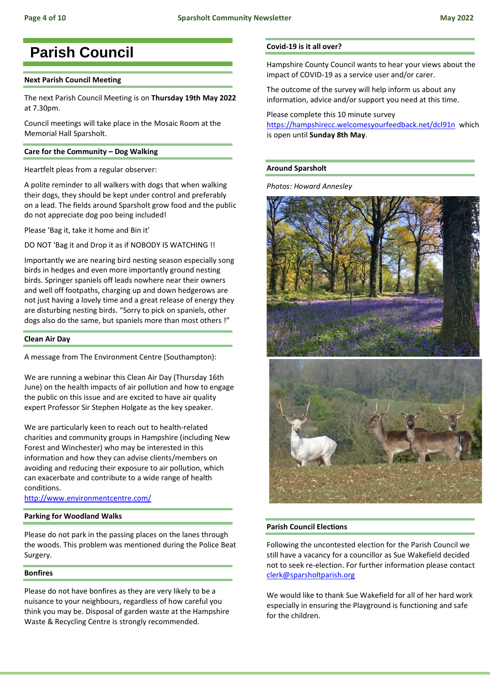# **Parish Council**

# **Next Parish Council Meeting**

The next Parish Council Meeting is on **Thursday 19th May 2022** at 7.30pm.

Council meetings will take place in the Mosaic Room at the Memorial Hall Sparsholt.

# **Care for the Community – Dog Walking**

Heartfelt pleas from a regular observer:

A polite reminder to all walkers with dogs that when walking their dogs, they should be kept under control and preferably on a lead. The fields around Sparsholt grow food and the public do not appreciate dog poo being included!

Please 'Bag it, take it home and Bin it'

DO NOT 'Bag it and Drop it as if NOBODY IS WATCHING !!

Importantly we are nearing bird nesting season especially song birds in hedges and even more importantly ground nesting birds. Springer spaniels off leads nowhere near their owners and well off footpaths, charging up and down hedgerows are not just having a lovely time and a great release of energy they are disturbing nesting birds. "Sorry to pick on spaniels, other dogs also do the same, but spaniels more than most others !"

#### **Clean Air Day**

A message from The Environment Centre (Southampton):

We are running a webinar this Clean Air Day (Thursday 16th June) on the health impacts of air pollution and how to engage the public on this issue and are excited to have air quality expert Professor Sir Stephen Holgate as the key speaker.

We are particularly keen to reach out to health-related charities and community groups in Hampshire (including New Forest and Winchester) who may be interested in this information and how they can advise clients/members on avoiding and reducing their exposure to air pollution, which can exacerbate and contribute to a wide range of health conditions.

<http://www.environmentcentre.com/>

# **Parking for Woodland Walks**

Please do not park in the passing places on the lanes through the woods. This problem was mentioned during the Police Beat Surgery.

# **Bonfires**

Please do not have bonfires as they are very likely to be a nuisance to your neighbours, regardless of how careful you think you may be. Disposal of garden waste at the Hampshire Waste & Recycling Centre is strongly recommended.

# **Covid-19 is it all over?**

Hampshire County Council wants to hear your views about the impact of COVID-19 as a service user and/or carer.

The outcome of the survey will help inform us about any information, advice and/or support you need at this time.

# Please complete this 10 minute survey

<https://hampshirecc.welcomesyourfeedback.net/dcl91n>which is open until **Sunday 8th May**.

# **Around Sparsholt**

*Photos: Howard Annesley*



#### **Parish Council Elections**

Following the uncontested election for the Parish Council we still have a vacancy for a councillor as Sue Wakefield decided not to seek re-election. For further information please contact [clerk@sparsholtparish.org](mailto:clerk@sparsholtparish.org)

We would like to thank Sue Wakefield for all of her hard work especially in ensuring the Playground is functioning and safe for the children.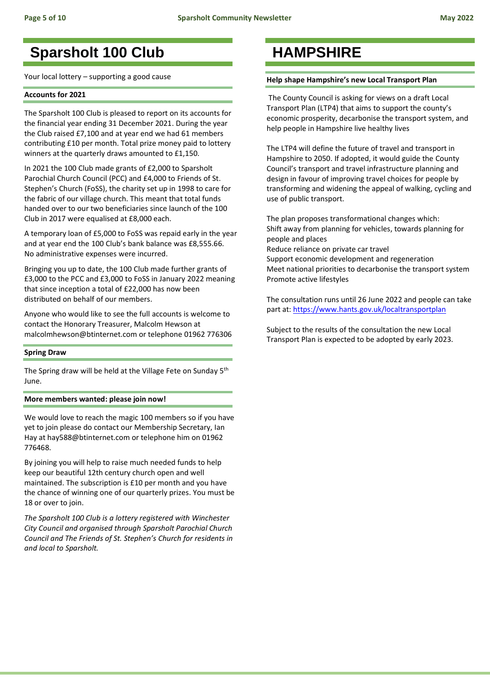# **Sparsholt 100 Club**

Your local lottery – supporting a good cause

# **Accounts for 2021**

The Sparsholt 100 Club is pleased to report on its accounts for the financial year ending 31 December 2021. During the year the Club raised £7,100 and at year end we had 61 members contributing £10 per month. Total prize money paid to lottery winners at the quarterly draws amounted to £1,150.

In 2021 the 100 Club made grants of £2,000 to Sparsholt Parochial Church Council (PCC) and £4,000 to Friends of St. Stephen's Church (FoSS), the charity set up in 1998 to care for the fabric of our village church. This meant that total funds handed over to our two beneficiaries since launch of the 100 Club in 2017 were equalised at £8,000 each.

A temporary loan of £5,000 to FoSS was repaid early in the year and at year end the 100 Club's bank balance was £8,555.66. No administrative expenses were incurred.

Bringing you up to date, the 100 Club made further grants of £3,000 to the PCC and £3,000 to FoSS in January 2022 meaning that since inception a total of £22,000 has now been distributed on behalf of our members.

Anyone who would like to see the full accounts is welcome to contact the Honorary Treasurer, Malcolm Hewson at malcolmhewson@btinternet.com or telephone 01962 776306

### **Spring Draw**

The Spring draw will be held at the Village Fete on Sunday 5<sup>th</sup> June.

### **More members wanted: please join now!**

We would love to reach the magic 100 members so if you have yet to join please do contact our Membership Secretary, Ian Hay at hay588@btinternet.com or telephone him on 01962 776468.

By joining you will help to raise much needed funds to help keep our beautiful 12th century church open and well maintained. The subscription is £10 per month and you have the chance of winning one of our quarterly prizes. You must be 18 or over to join.

*The Sparsholt 100 Club is a lottery registered with Winchester City Council and organised through Sparsholt Parochial Church Council and The Friends of St. Stephen's Church for residents in and local to Sparsholt.* 

# **HAMPSHIRE**

### **Help shape Hampshire's new Local Transport Plan**

The County Council is asking for views on a draft Local Transport Plan (LTP4) that aims to support the county's economic prosperity, decarbonise the transport system, and help people in Hampshire live healthy lives

The LTP4 will define the future of travel and transport in Hampshire to 2050. If adopted, it would guide the County Council's transport and travel infrastructure planning and design in favour of improving travel choices for people by transforming and widening the appeal of walking, cycling and use of public transport.

The plan proposes transformational changes which: Shift away from planning for vehicles, towards planning for people and places

Reduce reliance on private car travel

Support economic development and regeneration Meet national priorities to decarbonise the transport system Promote active lifestyles

The consultation runs until 26 June 2022 and people can take part at:<https://www.hants.gov.uk/localtransportplan>

Subject to the results of the consultation the new Local Transport Plan is expected to be adopted by early 2023.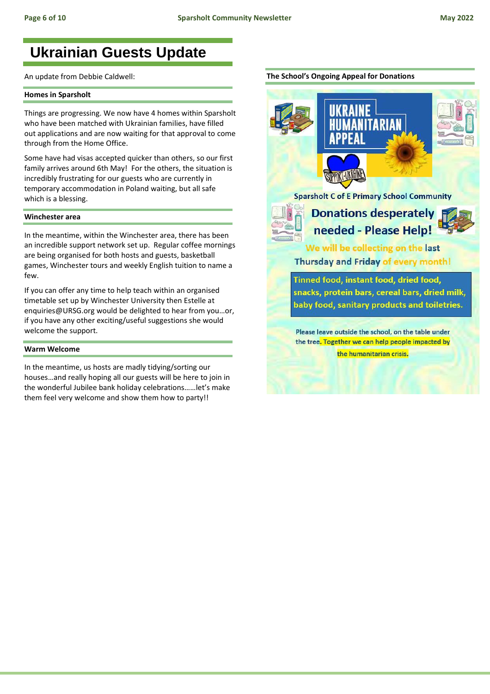# **Ukrainian Guests Update**

An update from Debbie Caldwell:

#### **Homes in Sparsholt**

Things are progressing. We now have 4 homes within Sparsholt who have been matched with Ukrainian families, have filled out applications and are now waiting for that approval to come through from the Home Office.

Some have had visas accepted quicker than others, so our first family arrives around 6th May! For the others, the situation is incredibly frustrating for our guests who are currently in temporary accommodation in Poland waiting, but all safe which is a blessing.

#### **Winchester area**

In the meantime, within the Winchester area, there has been an incredible support network set up. Regular coffee mornings are being organised for both hosts and guests, basketball games, Winchester tours and weekly English tuition to name a few.

If you can offer any time to help teach within an organised timetable set up by Winchester University then Estelle at enquiries@URSG.org would be delighted to hear from you…or, if you have any other exciting/useful suggestions she would welcome the support.

#### **Warm Welcome**

In the meantime, us hosts are madly tidying/sorting our houses…and really hoping all our guests will be here to join in the wonderful Jubilee bank holiday celebrations……let's make them feel very welcome and show them how to party!!



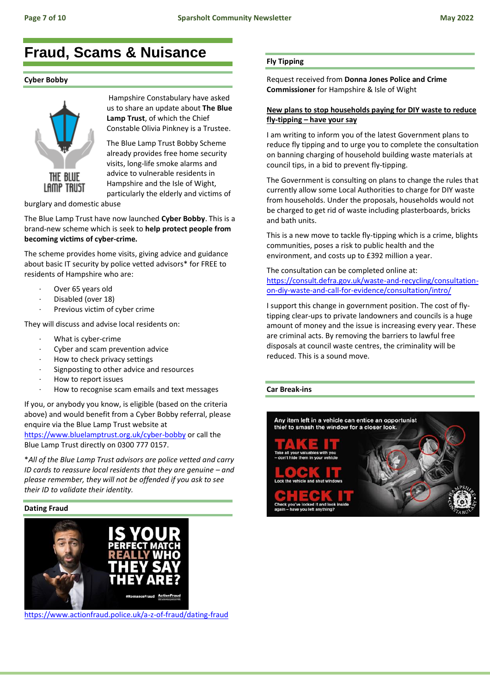# **Fraud, Scams & Nuisance**

### **Cyber Bobby**



Hampshire Constabulary have asked us to share an update about **The Blue Lamp Trust**, of which the Chief Constable Olivia Pinkney is a Trustee.

The Blue Lamp Trust Bobby Scheme already provides free home security visits, long-life smoke alarms and advice to vulnerable residents in Hampshire and the Isle of Wight, particularly the elderly and victims of

burglary and domestic abuse

The Blue Lamp Trust have now launched **Cyber Bobby**. This is a brand-new scheme which is seek to **help protect people from becoming victims of cyber-crime.**

The scheme provides home visits, giving advice and guidance about basic IT security by police vetted advisors\* for FREE to residents of Hampshire who are:

- Over 65 years old
- Disabled (over 18)
- Previous victim of cyber crime

They will discuss and advise local residents on:

- · What is cyber-crime
- Cyber and scam prevention advice
- How to check privacy settings
- Signposting to other advice and resources
- How to report issues
- How to recognise scam emails and text messages

If you, or anybody you know, is eligible (based on the criteria above) and would benefit from a Cyber Bobby referral, please enquire via the Blue Lamp Trust website at <https://www.bluelamptrust.org.uk/cyber-bobby> or call the

Blue Lamp Trust directly on 0300 777 0157.

\**All of the Blue Lamp Trust advisors are police vetted and carry ID cards to reassure local residents that they are genuine – and please remember, they will not be offended if you ask to see their ID to validate their identity.*

### **Dating Fraud**



<https://www.actionfraud.police.uk/a-z-of-fraud/dating-fraud>

# **Fly Tipping**

Request received from **Donna Jones Police and Crime Commissioner** for Hampshire & Isle of Wight

### **New plans to stop households paying for DIY waste to reduce fly-tipping – have your say**

I am writing to inform you of the latest Government plans to reduce fly tipping and to urge you to complete the consultation on banning charging of household building waste materials at council tips, in a bid to prevent fly-tipping.

The Government is consulting on plans to change the rules that currently allow some Local Authorities to charge for DIY waste from households. Under the proposals, households would not be charged to get rid of waste including plasterboards, bricks and bath units.

This is a new move to tackle fly-tipping which is a crime, blights communities, poses a risk to public health and the environment, and costs up to £392 million a year.

The consultation can be completed online at: [https://consult.defra.gov.uk/waste-and-recycling/consultation](https://consult.defra.gov.uk/waste-and-recycling/consultation-on-diy-waste-and-call-for-evidence/consultation/intro/)[on-diy-waste-and-call-for-evidence/consultation/intro/](https://consult.defra.gov.uk/waste-and-recycling/consultation-on-diy-waste-and-call-for-evidence/consultation/intro/)

I support this change in government position. The cost of flytipping clear-ups to private landowners and councils is a huge amount of money and the issue is increasing every year. These are criminal acts. By removing the barriers to lawful free disposals at council waste centres, the criminality will be reduced. This is a sound move.

### **Car Break-ins**

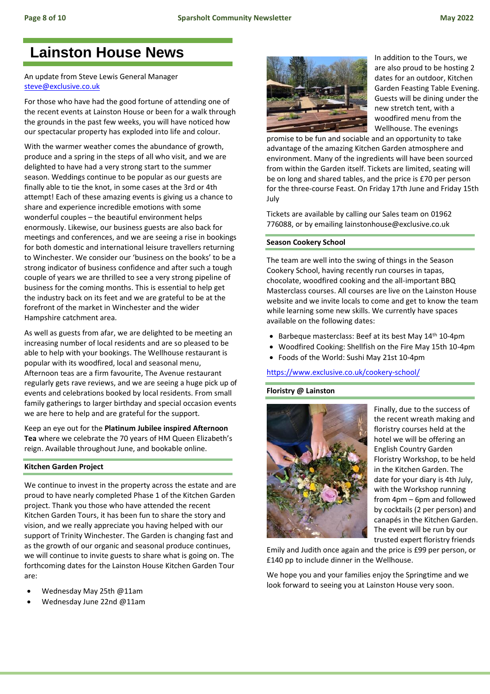# **Lainston House News**

# An update from Steve Lewis General Manager [steve@exclusive.co.uk](mailto:steve@exclusive.co.uk)

For those who have had the good fortune of attending one of the recent events at Lainston House or been for a walk through the grounds in the past few weeks, you will have noticed how our spectacular property has exploded into life and colour.

With the warmer weather comes the abundance of growth, produce and a spring in the steps of all who visit, and we are delighted to have had a very strong start to the summer season. Weddings continue to be popular as our guests are finally able to tie the knot, in some cases at the 3rd or 4th attempt! Each of these amazing events is giving us a chance to share and experience incredible emotions with some wonderful couples – the beautiful environment helps enormously. Likewise, our business guests are also back for meetings and conferences, and we are seeing a rise in bookings for both domestic and international leisure travellers returning to Winchester. We consider our 'business on the books' to be a strong indicator of business confidence and after such a tough couple of years we are thrilled to see a very strong pipeline of business for the coming months. This is essential to help get the industry back on its feet and we are grateful to be at the forefront of the market in Winchester and the wider Hampshire catchment area.

As well as guests from afar, we are delighted to be meeting an increasing number of local residents and are so pleased to be able to help with your bookings. The Wellhouse restaurant is popular with its woodfired, local and seasonal menu, Afternoon teas are a firm favourite, The Avenue restaurant regularly gets rave reviews, and we are seeing a huge pick up of events and celebrations booked by local residents. From small family gatherings to larger birthday and special occasion events we are here to help and are grateful for the support.

Keep an eye out for the **Platinum Jubilee inspired Afternoon Tea** where we celebrate the 70 years of HM Queen Elizabeth's reign. Available throughout June, and bookable online.

# **Kitchen Garden Project**

We continue to invest in the property across the estate and are proud to have nearly completed Phase 1 of the Kitchen Garden project. Thank you those who have attended the recent Kitchen Garden Tours, it has been fun to share the story and vision, and we really appreciate you having helped with our support of Trinity Winchester. The Garden is changing fast and as the growth of our organic and seasonal produce continues, we will continue to invite guests to share what is going on. The forthcoming dates for the Lainston House Kitchen Garden Tour are:

- Wednesday May 25th @11am
- Wednesday June 22nd @11am



In addition to the Tours, we are also proud to be hosting 2 dates for an outdoor, Kitchen Garden Feasting Table Evening. Guests will be dining under the new stretch tent, with a woodfired menu from the Wellhouse. The evenings

promise to be fun and sociable and an opportunity to take advantage of the amazing Kitchen Garden atmosphere and environment. Many of the ingredients will have been sourced from within the Garden itself. Tickets are limited, seating will be on long and shared tables, and the price is £70 per person for the three-course Feast. On Friday 17th June and Friday 15th July

Tickets are available by calling our Sales team on 01962 776088, or by emailing lainstonhouse@exclusive.co.uk

# **Season Cookery School**

The team are well into the swing of things in the Season Cookery School, having recently run courses in tapas, chocolate, woodfired cooking and the all-important BBQ Masterclass courses. All courses are live on the Lainston House website and we invite locals to come and get to know the team while learning some new skills. We currently have spaces available on the following dates:

- Barbeque masterclass: Beef at its best May 14th 10-4pm
- Woodfired Cooking: Shellfish on the Fire May 15th 10-4pm
- Foods of the World: Sushi May 21st 10-4pm

<https://www.exclusive.co.uk/cookery-school/>

# **Floristry @ Lainston**



Finally, due to the success of the recent wreath making and floristry courses held at the hotel we will be offering an English Country Garden Floristry Workshop, to be held in the Kitchen Garden. The date for your diary is 4th July, with the Workshop running from 4pm – 6pm and followed by cocktails (2 per person) and canapés in the Kitchen Garden. The event will be run by our trusted expert floristry friends

Emily and Judith once again and the price is £99 per person, or £140 pp to include dinner in the Wellhouse.

We hope you and your families enjoy the Springtime and we look forward to seeing you at Lainston House very soon.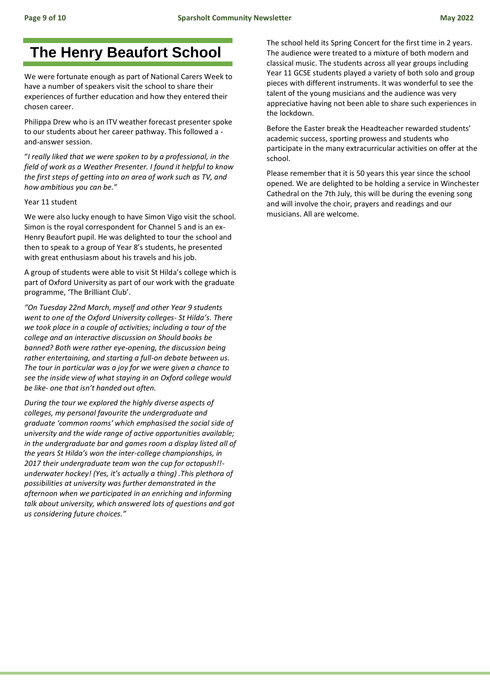# **The Henry Beaufort School**

We were fortunate enough as part of National Carers Week to have a number of speakers visit the school to share their experiences of further education and how they entered their chosen career.

Philippa Drew who is an ITV weather forecast presenter spoke to our students about her career pathway. This followed a and-answer session.

"*I really liked that we were spoken to by a professional, in the field of work as a Weather Presenter. I found it helpful to know the first steps of getting into an area of work such as TV, and how ambitious you can be."*

#### Year 11 student

We were also lucky enough to have Simon Vigo visit the school. Simon is the royal correspondent for Channel 5 and is an ex-Henry Beaufort pupil. He was delighted to tour the school and then to speak to a group of Year 8's students, he presented with great enthusiasm about his travels and his job.

A group of students were able to visit St Hilda's college which is part of Oxford University as part of our work with the graduate programme, 'The Brilliant Club'.

*"On Tuesday 22nd March, myself and other Year 9 students went to one of the Oxford University colleges- St Hilda's. There we took place in a couple of activities; including a tour of the college and an interactive discussion on Should books be banned? Both were rather eye-opening, the discussion being rather entertaining, and starting a full-on debate between us. The tour in particular was a joy for we were given a chance to see the inside view of what staying in an Oxford college would be like- one that isn't handed out often.*

*During the tour we explored the highly diverse aspects of colleges, my personal favourite the undergraduate and graduate 'common rooms' which emphasised the social side of university and the wide range of active opportunities available; in the undergraduate bar and games room a display listed all of the years St Hilda's won the inter-college championships, in 2017 their undergraduate team won the cup for octopush!! underwater hockey! (Yes, it's actually a thing) .This plethora of possibilities at university was further demonstrated in the afternoon when we participated in an enriching and informing talk about university, which answered lots of questions and got us considering future choices."*

The school held its Spring Concert for the first time in 2 years. The audience were treated to a mixture of both modern and classical music. The students across all year groups including Year 11 GCSE students played a variety of both solo and group pieces with different instruments. It was wonderful to see the talent of the young musicians and the audience was very appreciative having not been able to share such experiences in the lockdown.

Before the Easter break the Headteacher rewarded students' academic success, sporting prowess and students who participate in the many extracurricular activities on offer at the school.

Please remember that it is 50 years this year since the school opened. We are delighted to be holding a service in Winchester Cathedral on the 7th July, this will be during the evening song and will involve the choir, prayers and readings and our musicians. All are welcome.